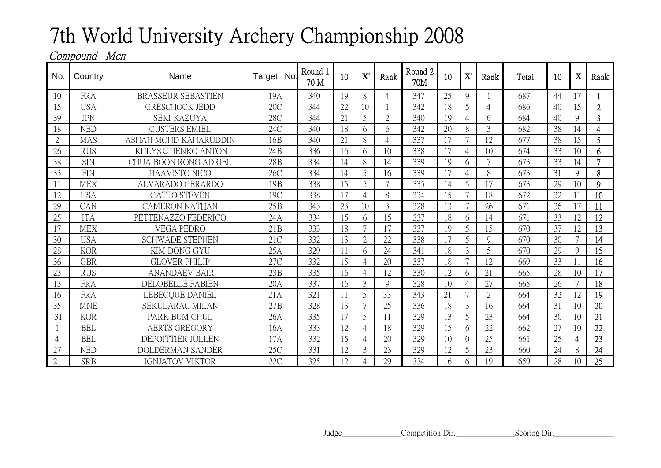## 7th World University Archery Championship 2008

## Compound Men

| No.            | Country    | Name                      | Target No.      | Round 1<br>70 M | 10 | $\mathbf{X}^{\prime}$ | Rank           | Round <sub>2</sub><br>70M | 10 | ${\bf X}'$     | Rank           | Total | 10 | $\mathbf X$    | Rank           |
|----------------|------------|---------------------------|-----------------|-----------------|----|-----------------------|----------------|---------------------------|----|----------------|----------------|-------|----|----------------|----------------|
| 10             | <b>FRA</b> | <b>BRASSEUR SEBASTIEN</b> | 19A             | 340             | 19 | 8                     |                | 347                       | 25 | $\mathbf Q$    |                | 687   | 44 |                |                |
| 15             | <b>USA</b> | <b>GRESCHOCK JEDD</b>     | 20C             | 344             | 22 | 10                    |                | 342                       | 18 | 5              | $\overline{4}$ | 686   | 40 | 15             | $\overline{2}$ |
| 39             | <b>JPN</b> | <b>SEKI KAZUYA</b>        | 28C             | 344             | 21 | 5                     | $\overline{2}$ | 340                       | 19 | $\overline{4}$ | 6              | 684   | 40 | 9              | 3              |
| 18             | <b>NED</b> | <b>CUSTERS EMIEL</b>      | 24C             | 340             | 18 | 6                     | 6              | 342                       | 20 | 8              | 3              | 682   | 38 | 14             | 4              |
| $\overline{2}$ | MAS        | ASHAH MOHD KAHARUDDIN     | 16B             | 340             | 21 | 8                     |                | 337                       | 17 | $\overline{7}$ | 12             | 677   | 38 | 15             | 5              |
| 26             | <b>RUS</b> | KHLYS C HENKO ANTON       | 24B             | 336             | 16 | 6                     | 10             | 338                       | 17 | $\overline{4}$ | 10             | 674   | 33 | 10             | 6              |
| 38             | <b>SIN</b> | CHUA BOON RONG ADRIEL     | 28 <sub>B</sub> | 334             | 14 | 8                     | 14             | 339                       | 19 | 6              | 7              | 673   | 33 | 14             | $\overline{7}$ |
| 33             | <b>FIN</b> | <b>HAAVISTO NICO</b>      | 26C             | 334             | 14 | 5                     | 16             | 339                       | 17 | $\overline{4}$ | 8              | 673   | 31 | 9              | 8              |
|                | <b>MEX</b> | ALVARADO GERARDO          | 19 <sub>B</sub> | 338             | 15 | 5                     | $\mathcal{L}$  | 335                       | 14 | 5              | 17             | 673   | 29 | 10             | 9              |
| 12             | <b>USA</b> | <b>GATTO STEVEN</b>       | 19C             | 338             | 17 | $\overline{4}$        | 8              | 334                       | 15 | $\overline{7}$ | 18             | 672   | 32 |                | 10             |
| 29             | CAN        | <b>CAMERON NATHAN</b>     | 25B             | 343             | 23 | 10                    | 3              | 328                       | 13 | $\overline{7}$ | 26             | 671   | 36 |                | 11             |
| 25             | <b>ITA</b> | PETTENAZZO FEDERICO       | 24A             | 334             | 15 | 6                     | 15             | 337                       | 18 | 6              | 14             | 671   | 33 | 12             | 12             |
| 17             | <b>MEX</b> | <b>VEGA PEDRO</b>         | 21B             | 333             | 18 | $\overline{7}$        | 17             | 337                       | 19 | 5              | 15             | 670   | 37 | 12             | 13             |
| 30             | <b>USA</b> | <b>SCHWADE STEPHEN</b>    | 21C             | 332             | 13 | $\overline{2}$        | 22             | 338                       |    | 5              | 9              | 670   | 30 |                | 14             |
| 28             | <b>KOR</b> | KIM DONG GYU              | 25A             | 329             |    | 6                     | 24             | 341                       | 18 | 3              | 5              | 670   | 29 | $\mathbf Q$    | 15             |
| 36             | <b>GBR</b> | <b>GLOVER PHILIP</b>      | 27C             | 332             | 15 | $\overline{4}$        | 20             | 337                       | 18 | $\overline{7}$ | 12             | 669   | 33 |                | 16             |
| 23             | <b>RUS</b> | <b>ANANDAEV BAIR</b>      | 23B             | 335             | 16 | $\overline{4}$        | 12             | 330                       | 12 | 6              | 21             | 665   | 28 | 10             | 17             |
| 13             | <b>FRA</b> | <b>DELOBELLE FABIEN</b>   | 20A             | 337             | 16 | 3                     | $\mathbf Q$    | 328                       | 10 | $\overline{4}$ | 27             | 665   | 26 |                | 18             |
| 16             | <b>FRA</b> | LEBECQUE DANIEL           | 21A             | 321             |    | 5                     | 33             | 343                       | 21 | 7              | $\overline{2}$ | 664   | 32 | 12             | 19             |
| 35             | <b>MNE</b> | SEKULARAC MILAN           | 27B             | 328             | 13 | 7                     | 25             | 336                       | 18 | 3              | 16             | 664   | 31 | 10             | 20             |
| 31             | <b>KOR</b> | PARK BUM CHUL             | 26A             | 335             | 17 | 5                     |                | 329                       | 13 | 5              | 23             | 664   | 30 | 10             | 21             |
|                | <b>BEL</b> | <b>AERTS GREGORY</b>      | 16A             | 333             | 12 | 4                     | 18             | 329                       | 15 | 6              | 22             | 662   | 27 | 10             | 22             |
| 4              | <b>BEL</b> | DEPOITTIER JULLEN         | 17A             | 332             | 15 | $\overline{A}$        | 20             | 329                       | 10 | $\overline{0}$ | 25             | 661   | 25 | $\overline{4}$ | 23             |
| 27             | <b>NED</b> | <b>DOLDERMAN SANDER</b>   | 25C             | 331             | 12 | 3                     | 23             | 329                       | 12 | 5              | 23             | 660   | 24 | 8              | 24             |
| 21             | <b>SRB</b> | <b>IGNJATOV VIKTOR</b>    | 22C             | 325             | 12 |                       | 29             | 334                       | 16 | 6              | 19             | 659   | 28 | 10             | 25             |